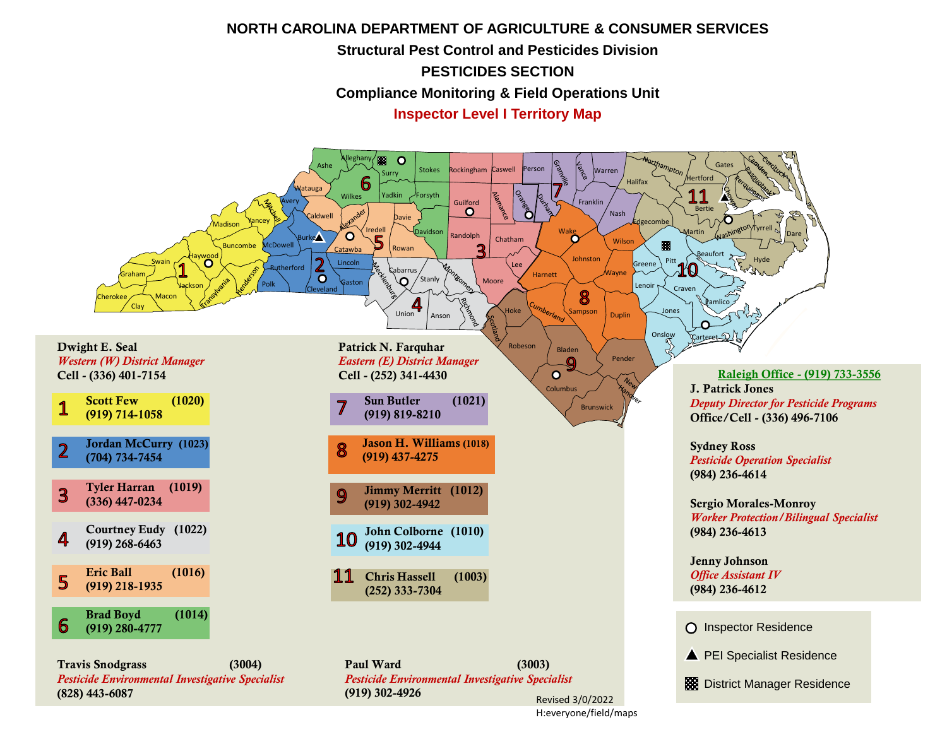## **NORTH CAROLINA DEPARTMENT OF AGRICULTURE & CONSUMER SERVICES Structural Pest Control and Pesticides Division PESTICIDES SECTION Compliance Monitoring & Field Operations Unit**

**Inspector Level I Territory Map**